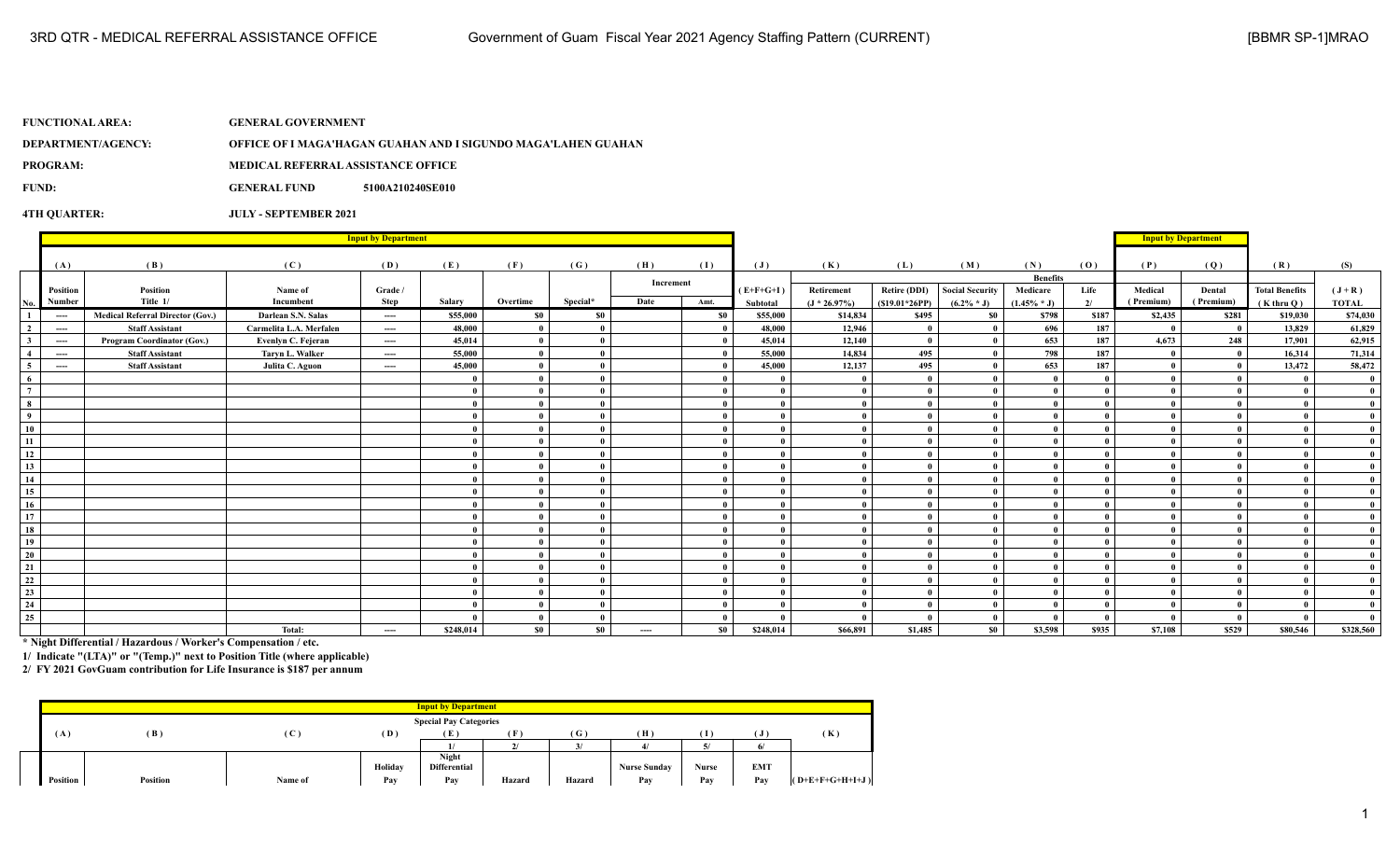| <b>FUNCTIONAL AREA:</b> | <b>GENERAL GOVERNMENT</b>                 |                                                               |
|-------------------------|-------------------------------------------|---------------------------------------------------------------|
| DEPARTMENT/AGENCY:      |                                           | OFFICE OF I MAGA'HAGAN GUAHAN AND I SIGUNDO MAGA'LAHEN GUAHAN |
| <b>PROGRAM:</b>         | <b>MEDICAL REFERRAL ASSISTANCE OFFICE</b> |                                                               |
| FUND:                   | <b>GENERAL FUND</b>                       | 5100A210240SE010                                              |
|                         |                                           |                                                               |

**4TH QUARTER: JULY - SEPTEMBER 2021**

|                 | <b>Input by Department</b> |                                         |                         |          |              |              |          |           |           |                |                 |                     |                        |                 | <b>Input by Department</b> |           |              |                       |              |
|-----------------|----------------------------|-----------------------------------------|-------------------------|----------|--------------|--------------|----------|-----------|-----------|----------------|-----------------|---------------------|------------------------|-----------------|----------------------------|-----------|--------------|-----------------------|--------------|
|                 | (A)                        | (B)                                     | (C)                     | (D)      | (E)          | (F)          | (G)      | (H)       | (I)       | $(\mathbf{J})$ | (K)             | (L)                 | (M)                    | (N)             | (0)                        | (P)       | (Q)          | (R)                   | (S)          |
|                 |                            |                                         |                         |          |              |              |          | Increment |           |                |                 |                     |                        | <b>Benefits</b> |                            |           |              |                       |              |
|                 | Position                   | Position                                | Name of                 | Grade /  |              |              |          |           |           | $(E+F+G+I)$    | Retirement      | <b>Retire (DDI)</b> | <b>Social Security</b> | Medicare        | Life                       | Medical   | Dental       | <b>Total Benefits</b> | $(J+R)$      |
| No.             | Number                     | Title 1/                                | Incumbent               | Step     | Salary       | Overtime     | Special* | Date      | Amt.      | Subtotal       | $(J * 26.97\%)$ | $(S19.01*26PP)$     | $(6.2\% * J)$          | $(1.45\% * J)$  | 2/                         | (Premium) | (Premium)    | $(K$ thru $O)$        | <b>TOTAL</b> |
|                 | $\cdots$                   | <b>Medical Referral Director (Gov.)</b> | Darlean S.N. Salas      | $\cdots$ | \$55,000     | <b>SO</b>    | \$0      |           | \$0       | \$55,000       | \$14,834        | \$495               | \$0                    | \$798           | \$187                      | \$2,435   | \$281        | \$19,030              | \$74,030     |
| $\overline{2}$  | $\cdots$                   | <b>Staff Assistant</b>                  | Carmelita L.A. Merfalen | $\cdots$ | 48,000       | $\bf{0}$     |          |           |           | 48,000         | 12,946          | $\theta$            | - 0                    | 696             | 187                        | - 0       | $\mathbf{0}$ | 13,829                | 61,829       |
| 3               | $---$                      | <b>Program Coordinator (Gov.)</b>       | Evenlyn C. Fejeran      | $---$    | 45,014       | $\mathbf{0}$ |          |           |           | 45,014         | 12,140          | $\mathbf{0}$        | - 0                    | 653             | 187                        | 4.673     | 248          | 17,901                | 62,915       |
| $\overline{4}$  | $---$                      | <b>Staff Assistant</b>                  | Taryn L. Walker         | $---$    | 55,000       | $\bf{0}$     |          |           |           | 55,000         | 14.834          | 495                 | - 0                    | 798             | 187                        |           | $\mathbf{0}$ | 16.314                | 71,314       |
| -5              | $-$                        | <b>Staff Assistant</b>                  | Julita C. Aguon         | $---$    | 45,000       | $\theta$     |          |           |           | 45,000         | 12,137          | 495                 | - 0                    | 653             | 187                        |           | $\mathbf{0}$ | 13,472                | 58,472       |
| -6              |                            |                                         |                         |          |              | $\mathbf{0}$ |          |           |           |                |                 | $\mathbf{0}$        | $\mathbf{u}$           |                 |                            |           |              |                       |              |
| $7\overline{ }$ |                            |                                         |                         |          |              | $\mathbf{0}$ |          |           |           |                | $\mathbf{0}$    | $\mathbf{0}$        | - 0                    |                 |                            |           |              |                       |              |
| 8               |                            |                                         |                         |          |              | $\theta$     |          |           |           |                | $\theta$        | $\mathbf{0}$        | - 0                    |                 |                            |           |              |                       |              |
| $\overline{9}$  |                            |                                         |                         |          | 0            | $\bf{0}$     |          |           |           | $\mathbf{a}$   | $\theta$        | $\bf{0}$            | $\mathbf{0}$           |                 |                            |           | $\theta$     |                       |              |
| 10              |                            |                                         |                         |          | 0            | $\mathbf{0}$ |          |           |           |                | $\mathbf{0}$    | $\mathbf{0}$        | $\mathbf{0}$           |                 |                            |           | $\mathbf{0}$ |                       |              |
| 11              |                            |                                         |                         |          |              | $\bf{0}$     |          |           |           | $\theta$       | $\mathbf{0}$    | $\mathbf{0}$        | - 0                    |                 |                            |           |              |                       |              |
| 12              |                            |                                         |                         |          |              | $\mathbf{0}$ |          |           |           | $\mathbf{a}$   | $\theta$        | $\mathbf{0}$        | - 0                    |                 |                            |           |              |                       |              |
| 13              |                            |                                         |                         |          |              | $\theta$     |          |           |           | $\mathbf{a}$   | $\theta$        | $\mathbf{0}$        | $\mathbf{0}$           |                 |                            |           |              |                       |              |
| 14              |                            |                                         |                         |          |              | $\theta$     |          |           |           |                | $\theta$        | $\mathbf{0}$        | $\mathbf{a}$           |                 |                            |           |              |                       |              |
| 15              |                            |                                         |                         |          |              | $\mathbf{0}$ |          |           |           |                |                 | $\mathbf{0}$        | $\mathbf{0}$           |                 |                            |           |              |                       |              |
| 16              |                            |                                         |                         |          |              | $\theta$     |          |           |           |                | $\theta$        | $\mathbf{0}$        | - 0                    |                 |                            |           |              |                       |              |
| 17              |                            |                                         |                         |          |              | $\bf{0}$     |          |           |           | $\mathbf{a}$   | $\mathbf{0}$    | $\mathbf{0}$        | $\mathbf{0}$           |                 |                            |           | $\mathbf{0}$ |                       |              |
| 18              |                            |                                         |                         |          |              | $\theta$     |          |           |           |                | $\theta$        | $\theta$            | - 0                    |                 |                            |           |              |                       |              |
| 19              |                            |                                         |                         |          |              | - 0          |          |           |           |                | $\theta$        | $\mathbf{0}$        | - 0                    |                 |                            |           |              |                       |              |
| 20              |                            |                                         |                         |          | $\mathbf{a}$ | $\bf{0}$     |          |           |           | $\theta$       | $\theta$        | $\mathbf{0}$        | - 0                    |                 |                            |           | $\mathbf{u}$ |                       |              |
| 21              |                            |                                         |                         |          |              | $\theta$     |          |           |           |                | $\mathbf{a}$    | $\mathbf{0}$        | $\mathbf{a}$           |                 |                            |           |              |                       |              |
| 22              |                            |                                         |                         |          |              | $\mathbf{0}$ |          |           |           |                | $\theta$        | $\mathbf{0}$        | - 0                    |                 |                            |           |              |                       |              |
| 23              |                            |                                         |                         |          |              | $\bf{0}$     |          |           |           |                | $\mathbf{0}$    | $\mathbf{0}$        | - 0                    |                 |                            |           |              |                       |              |
| 24              |                            |                                         |                         |          |              | $\bf{0}$     |          |           |           |                | $\mathbf{0}$    | $\mathbf{0}$        | $\mathbf{0}$           |                 |                            |           |              |                       |              |
| 25              |                            |                                         |                         |          |              | $\bf{0}$     |          |           |           |                | $\mathbf{a}$    | $\theta$            | $\mathbf{0}$           |                 |                            |           | $\mathbf{0}$ |                       |              |
|                 |                            |                                         | Total:                  | $\cdots$ | \$248,014    | $\$0$        | $\$0$    | ----      | <b>SO</b> | \$248,014      | \$66.891        | \$1,485             | S <sub>0</sub>         | \$3,598         | \$935                      | \$7,108   | \$529        | \$80,546              | \$328,560    |

**\* Night Differential / Hazardous / Worker's Compensation / etc.**

**1/ Indicate "(LTA)" or "(Temp.)" next to Position Title (where applicable)**

**2/ FY 2021 GovGuam contribution for Life Insurance is \$187 per annum**

|                               |                 |         |         | <b>Input by Department</b> |        |              |                     |       |                 |                   |  |
|-------------------------------|-----------------|---------|---------|----------------------------|--------|--------------|---------------------|-------|-----------------|-------------------|--|
| <b>Special Pay Categories</b> |                 |         |         |                            |        |              |                     |       |                 |                   |  |
| (A)                           | (B)             | (C      | (D)     | Έ                          | Œ.     | ( G )        | (H)                 |       |                 | (K)               |  |
|                               |                 |         |         |                            |        | $\mathbf{z}$ |                     |       | $\epsilon$<br>6 |                   |  |
|                               |                 |         |         | Night                      |        |              |                     |       |                 |                   |  |
|                               |                 |         | Holiday | Differential               |        |              | <b>Nurse Sunday</b> | Nurse | <b>EMT</b>      |                   |  |
| <b>Position</b>               | <b>Position</b> | Name of | Pay     | Pay                        | Hazard | Hazard       | Pay                 | Pay   | Pay             | $(O+E+F+G+H+I+J)$ |  |